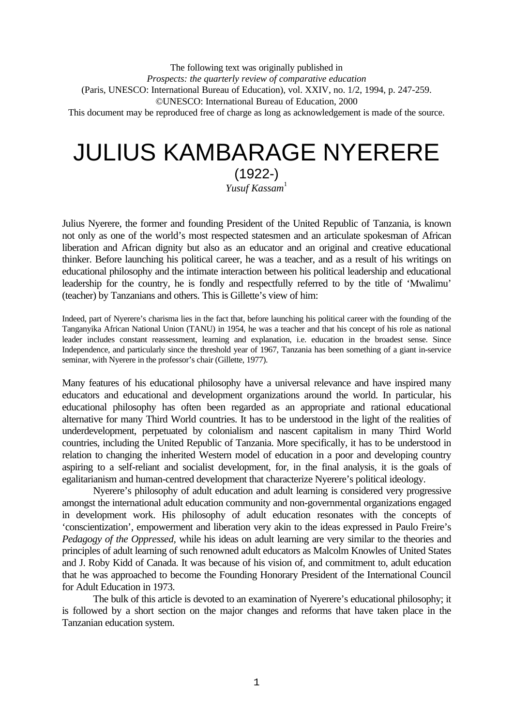The following text was originally published in *Prospects: the quarterly review of comparative education* (Paris, UNESCO: International Bureau of Education), vol. XXIV, no. 1/2, 1994, p. 247-259. ©UNESCO: International Bureau of Education, 2000 This document may be reproduced free of charge as long as acknowledgement is made of the source.

# JULIUS KAMBARAGE NYERERE

(1922-) *Yusuf Kassam*<sup>1</sup>

Julius Nyerere, the former and founding President of the United Republic of Tanzania, is known not only as one of the world's most respected statesmen and an articulate spokesman of African liberation and African dignity but also as an educator and an original and creative educational thinker. Before launching his political career, he was a teacher, and as a result of his writings on educational philosophy and the intimate interaction between his political leadership and educational leadership for the country, he is fondly and respectfully referred to by the title of 'Mwalimu' (teacher) by Tanzanians and others. This is Gillette's view of him:

Indeed, part of Nyerere's charisma lies in the fact that, before launching his political career with the founding of the Tanganyika African National Union (TANU) in 1954, he was a teacher and that his concept of his role as national leader includes constant reassessment, learning and explanation, i.e. education in the broadest sense. Since Independence, and particularly since the threshold year of 1967, Tanzania has been something of a giant in-service seminar, with Nyerere in the professor's chair (Gillette, 1977).

Many features of his educational philosophy have a universal relevance and have inspired many educators and educational and development organizations around the world. In particular, his educational philosophy has often been regarded as an appropriate and rational educational alternative for many Third World countries. It has to be understood in the light of the realities of underdevelopment, perpetuated by colonialism and nascent capitalism in many Third World countries, including the United Republic of Tanzania. More specifically, it has to be understood in relation to changing the inherited Western model of education in a poor and developing country aspiring to a self-reliant and socialist development, for, in the final analysis, it is the goals of egalitarianism and human-centred development that characterize Nyerere's political ideology.

Nyerere's philosophy of adult education and adult learning is considered very progressive amongst the international adult education community and non-governmental organizations engaged in development work. His philosophy of adult education resonates with the concepts of 'conscientization', empowerment and liberation very akin to the ideas expressed in Paulo Freire's *Pedagogy of the Oppressed,* while his ideas on adult learning are very similar to the theories and principles of adult learning of such renowned adult educators as Malcolm Knowles of United States and J. Roby Kidd of Canada. It was because of his vision of, and commitment to, adult education that he was approached to become the Founding Honorary President of the International Council for Adult Education in 1973.

The bulk of this article is devoted to an examination of Nyerere's educational philosophy; it is followed by a short section on the major changes and reforms that have taken place in the Tanzanian education system.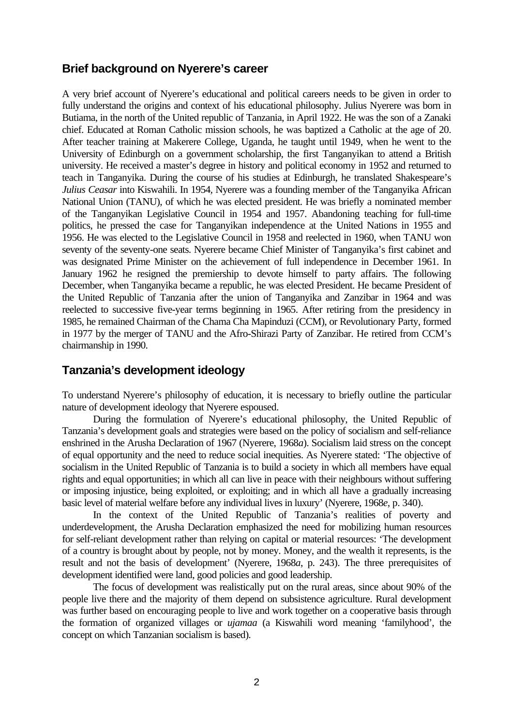## **Brief background on Nyerere's career**

A very brief account of Nyerere's educational and political careers needs to be given in order to fully understand the origins and context of his educational philosophy. Julius Nyerere was born in Butiama, in the north of the United republic of Tanzania, in April 1922. He was the son of a Zanaki chief. Educated at Roman Catholic mission schools, he was baptized a Catholic at the age of 20. After teacher training at Makerere College, Uganda, he taught until 1949, when he went to the University of Edinburgh on a government scholarship, the first Tanganyikan to attend a British university. He received a master's degree in history and political economy in 1952 and returned to teach in Tanganyika. During the course of his studies at Edinburgh, he translated Shakespeare's *Julius Ceasar* into Kiswahili. In 1954, Nyerere was a founding member of the Tanganyika African National Union (TANU), of which he was elected president. He was briefly a nominated member of the Tanganyikan Legislative Council in 1954 and 1957. Abandoning teaching for full-time politics, he pressed the case for Tanganyikan independence at the United Nations in 1955 and 1956. He was elected to the Legislative Council in 1958 and reelected in 1960, when TANU won seventy of the seventy-one seats. Nyerere became Chief Minister of Tanganyika's first cabinet and was designated Prime Minister on the achievement of full independence in December 1961. In January 1962 he resigned the premiership to devote himself to party affairs. The following December, when Tanganyika became a republic, he was elected President. He became President of the United Republic of Tanzania after the union of Tanganyika and Zanzibar in 1964 and was reelected to successive five-year terms beginning in 1965. After retiring from the presidency in 1985, he remained Chairman of the Chama Cha Mapinduzi (CCM), or Revolutionary Party, formed in 1977 by the merger of TANU and the Afro-Shirazi Party of Zanzibar. He retired from CCM's chairmanship in 1990.

# **Tanzania's development ideology**

To understand Nyerere's philosophy of education, it is necessary to briefly outline the particular nature of development ideology that Nyerere espoused.

During the formulation of Nyerere's educational philosophy, the United Republic of Tanzania's development goals and strategies were based on the policy of socialism and self-reliance enshrined in the Arusha Declaration of 1967 (Nyerere, 1968*a*). Socialism laid stress on the concept of equal opportunity and the need to reduce social inequities. As Nyerere stated: 'The objective of socialism in the United Republic of Tanzania is to build a society in which all members have equal rights and equal opportunities; in which all can live in peace with their neighbours without suffering or imposing injustice, being exploited, or exploiting; and in which all have a gradually increasing basic level of material welfare before any individual lives in luxury' (Nyerere, 1968*e*, p. 340).

In the context of the United Republic of Tanzania's realities of poverty and underdevelopment, the Arusha Declaration emphasized the need for mobilizing human resources for self-reliant development rather than relying on capital or material resources: 'The development of a country is brought about by people, not by money. Money, and the wealth it represents, is the result and not the basis of development' (Nyerere, 1968*a*, p. 243). The three prerequisites of development identified were land, good policies and good leadership.

The focus of development was realistically put on the rural areas, since about 90% of the people live there and the majority of them depend on subsistence agriculture. Rural development was further based on encouraging people to live and work together on a cooperative basis through the formation of organized villages or *ujamaa* (a Kiswahili word meaning 'familyhood', the concept on which Tanzanian socialism is based).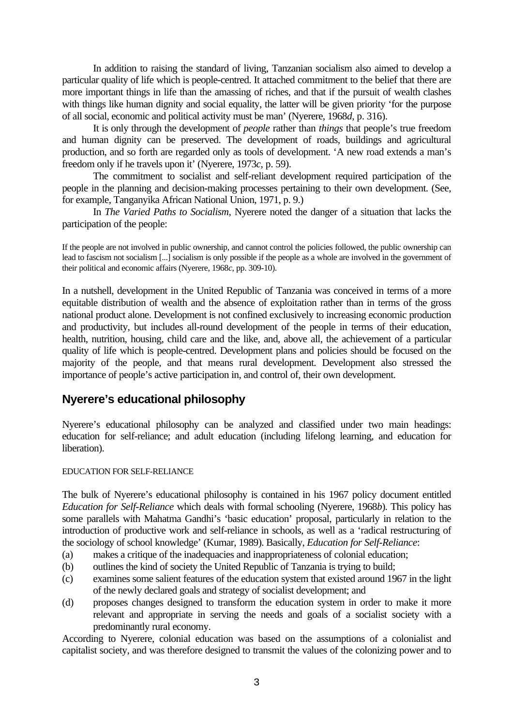In addition to raising the standard of living, Tanzanian socialism also aimed to develop a particular quality of life which is people-centred. It attached commitment to the belief that there are more important things in life than the amassing of riches, and that if the pursuit of wealth clashes with things like human dignity and social equality, the latter will be given priority 'for the purpose of all social, economic and political activity must be man' (Nyerere, 1968*d*, p. 316).

It is only through the development of *people* rather than *things* that people's true freedom and human dignity can be preserved. The development of roads, buildings and agricultural production, and so forth are regarded only as tools of development. 'A new road extends a man's freedom only if he travels upon it' (Nyerere, 1973*c*, p. 59).

The commitment to socialist and self-reliant development required participation of the people in the planning and decision-making processes pertaining to their own development. (See, for example, Tanganyika African National Union, 1971, p. 9.)

In *The Varied Paths to Socialism,* Nyerere noted the danger of a situation that lacks the participation of the people:

If the people are not involved in public ownership, and cannot control the policies followed, the public ownership can lead to fascism not socialism [...] socialism is only possible if the people as a whole are involved in the government of their political and economic affairs (Nyerere, 1968*c*, pp. 309-10).

In a nutshell, development in the United Republic of Tanzania was conceived in terms of a more equitable distribution of wealth and the absence of exploitation rather than in terms of the gross national product alone. Development is not confined exclusively to increasing economic production and productivity, but includes all-round development of the people in terms of their education, health, nutrition, housing, child care and the like, and, above all, the achievement of a particular quality of life which is people-centred. Development plans and policies should be focused on the majority of the people, and that means rural development. Development also stressed the importance of people's active participation in, and control of, their own development.

# **Nyerere's educational philosophy**

Nyerere's educational philosophy can be analyzed and classified under two main headings: education for self-reliance; and adult education (including lifelong learning, and education for liberation).

## EDUCATION FOR SELF-RELIANCE

The bulk of Nyerere's educational philosophy is contained in his 1967 policy document entitled *Education for Self-Reliance* which deals with formal schooling (Nyerere, 1968*b*). This policy has some parallels with Mahatma Gandhi's 'basic education' proposal, particularly in relation to the introduction of productive work and self-reliance in schools, as well as a 'radical restructuring of the sociology of school knowledge' (Kumar, 1989). Basically, *Education for Self-Reliance*:

- (a) makes a critique of the inadequacies and inappropriateness of colonial education;
- (b) outlines the kind of society the United Republic of Tanzania is trying to build;
- (c) examines some salient features of the education system that existed around 1967 in the light of the newly declared goals and strategy of socialist development; and
- (d) proposes changes designed to transform the education system in order to make it more relevant and appropriate in serving the needs and goals of a socialist society with a predominantly rural economy.

According to Nyerere, colonial education was based on the assumptions of a colonialist and capitalist society, and was therefore designed to transmit the values of the colonizing power and to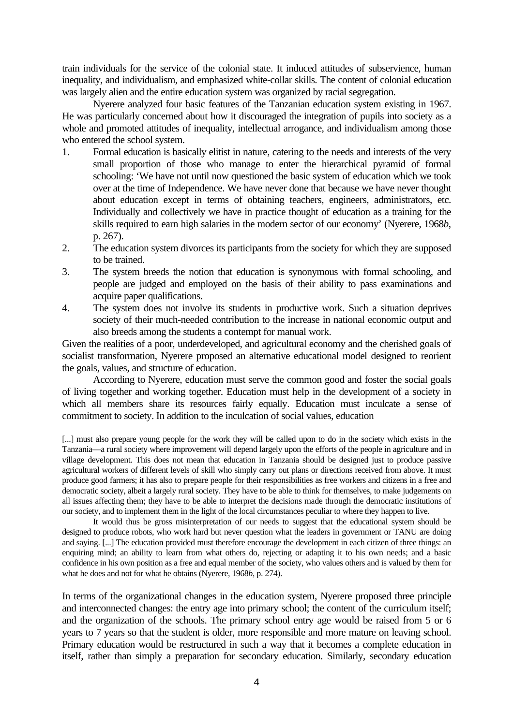train individuals for the service of the colonial state. It induced attitudes of subservience, human inequality, and individualism, and emphasized white-collar skills. The content of colonial education was largely alien and the entire education system was organized by racial segregation.

Nyerere analyzed four basic features of the Tanzanian education system existing in 1967. He was particularly concerned about how it discouraged the integration of pupils into society as a whole and promoted attitudes of inequality, intellectual arrogance, and individualism among those who entered the school system.

- 1. Formal education is basically elitist in nature, catering to the needs and interests of the very small proportion of those who manage to enter the hierarchical pyramid of formal schooling: 'We have not until now questioned the basic system of education which we took over at the time of Independence. We have never done that because we have never thought about education except in terms of obtaining teachers, engineers, administrators, etc. Individually and collectively we have in practice thought of education as a training for the skills required to earn high salaries in the modern sector of our economy' (Nyerere, 1968*b*, p. 267).
- 2. The education system divorces its participants from the society for which they are supposed to be trained.
- 3. The system breeds the notion that education is synonymous with formal schooling, and people are judged and employed on the basis of their ability to pass examinations and acquire paper qualifications.
- 4. The system does not involve its students in productive work. Such a situation deprives society of their much-needed contribution to the increase in national economic output and also breeds among the students a contempt for manual work.

Given the realities of a poor, underdeveloped, and agricultural economy and the cherished goals of socialist transformation, Nyerere proposed an alternative educational model designed to reorient the goals, values, and structure of education.

According to Nyerere, education must serve the common good and foster the social goals of living together and working together. Education must help in the development of a society in which all members share its resources fairly equally. Education must inculcate a sense of commitment to society. In addition to the inculcation of social values, education

[...] must also prepare young people for the work they will be called upon to do in the society which exists in the Tanzania—a rural society where improvement will depend largely upon the efforts of the people in agriculture and in village development. This does not mean that education in Tanzania should be designed just to produce passive agricultural workers of different levels of skill who simply carry out plans or directions received from above. It must produce good farmers; it has also to prepare people for their responsibilities as free workers and citizens in a free and democratic society, albeit a largely rural society. They have to be able to think for themselves, to make judgements on all issues affecting them; they have to be able to interpret the decisions made through the democratic institutions of our society, and to implement them in the light of the local circumstances peculiar to where they happen to live.

It would thus be gross misinterpretation of our needs to suggest that the educational system should be designed to produce robots, who work hard but never question what the leaders in government or TANU are doing and saying. [...] The education provided must therefore encourage the development in each citizen of three things: an enquiring mind; an ability to learn from what others do, rejecting or adapting it to his own needs; and a basic confidence in his own position as a free and equal member of the society, who values others and is valued by them for what he does and not for what he obtains (Nyerere, 1968*b*, p. 274).

In terms of the organizational changes in the education system, Nyerere proposed three principle and interconnected changes: the entry age into primary school; the content of the curriculum itself; and the organization of the schools. The primary school entry age would be raised from 5 or 6 years to 7 years so that the student is older, more responsible and more mature on leaving school. Primary education would be restructured in such a way that it becomes a complete education in itself, rather than simply a preparation for secondary education. Similarly, secondary education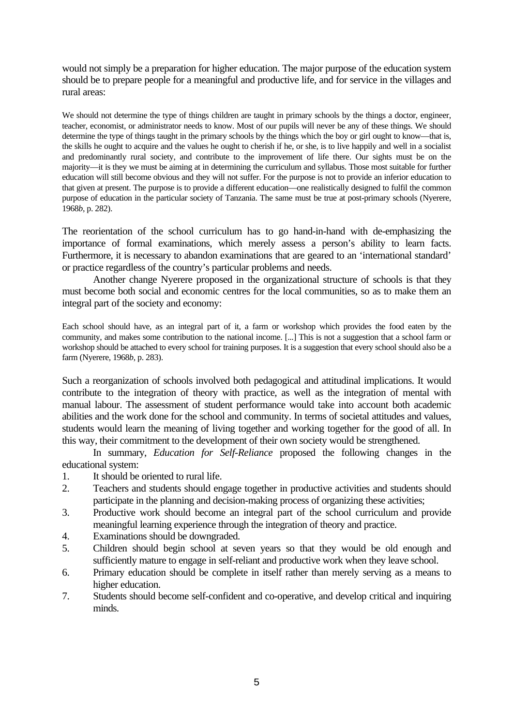would not simply be a preparation for higher education. The major purpose of the education system should be to prepare people for a meaningful and productive life, and for service in the villages and rural areas:

We should not determine the type of things children are taught in primary schools by the things a doctor, engineer, teacher, economist, or administrator needs to know. Most of our pupils will never be any of these things. We should determine the type of things taught in the primary schools by the things which the boy or girl ought to know—that is, the skills he ought to acquire and the values he ought to cherish if he, or she, is to live happily and well in a socialist and predominantly rural society, and contribute to the improvement of life there. Our sights must be on the majority—it is they we must be aiming at in determining the curriculum and syllabus. Those most suitable for further education will still become obvious and they will not suffer. For the purpose is not to provide an inferior education to that given at present. The purpose is to provide a different education—one realistically designed to fulfil the common purpose of education in the particular society of Tanzania. The same must be true at post-primary schools (Nyerere, 1968*b*, p. 282).

The reorientation of the school curriculum has to go hand-in-hand with de-emphasizing the importance of formal examinations, which merely assess a person's ability to learn facts. Furthermore, it is necessary to abandon examinations that are geared to an 'international standard' or practice regardless of the country's particular problems and needs.

Another change Nyerere proposed in the organizational structure of schools is that they must become both social and economic centres for the local communities, so as to make them an integral part of the society and economy:

Each school should have, as an integral part of it, a farm or workshop which provides the food eaten by the community, and makes some contribution to the national income. [...] This is not a suggestion that a school farm or workshop should be attached to every school for training purposes. It is a suggestion that every school should also be a farm (Nyerere, 1968*b*, p. 283).

Such a reorganization of schools involved both pedagogical and attitudinal implications. It would contribute to the integration of theory with practice, as well as the integration of mental with manual labour. The assessment of student performance would take into account both academic abilities and the work done for the school and community. In terms of societal attitudes and values, students would learn the meaning of living together and working together for the good of all. In this way, their commitment to the development of their own society would be strengthened.

In summary, *Education for Self-Reliance* proposed the following changes in the educational system:

- 1. It should be oriented to rural life.
- 2. Teachers and students should engage together in productive activities and students should participate in the planning and decision-making process of organizing these activities;
- 3. Productive work should become an integral part of the school curriculum and provide meaningful learning experience through the integration of theory and practice.
- 4. Examinations should be downgraded.
- 5. Children should begin school at seven years so that they would be old enough and sufficiently mature to engage in self-reliant and productive work when they leave school.
- 6. Primary education should be complete in itself rather than merely serving as a means to higher education.
- 7. Students should become self-confident and co-operative, and develop critical and inquiring minds.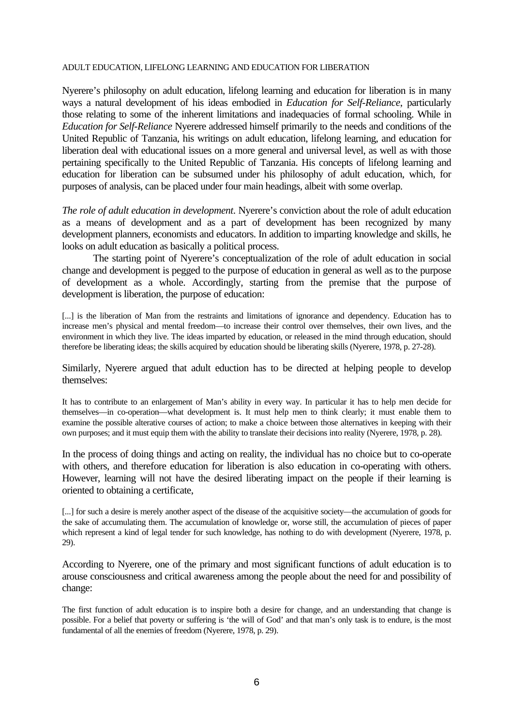## ADULT EDUCATION, LIFELONG LEARNING AND EDUCATION FOR LIBERATION

Nyerere's philosophy on adult education, lifelong learning and education for liberation is in many ways a natural development of his ideas embodied in *Education for Self-Reliance*, particularly those relating to some of the inherent limitations and inadequacies of formal schooling. While in *Education for Self-Reliance* Nyerere addressed himself primarily to the needs and conditions of the United Republic of Tanzania, his writings on adult education, lifelong learning, and education for liberation deal with educational issues on a more general and universal level, as well as with those pertaining specifically to the United Republic of Tanzania. His concepts of lifelong learning and education for liberation can be subsumed under his philosophy of adult education, which, for purposes of analysis, can be placed under four main headings, albeit with some overlap.

*The role of adult education in development*. Nyerere's conviction about the role of adult education as a means of development and as a part of development has been recognized by many development planners, economists and educators. In addition to imparting knowledge and skills, he looks on adult education as basically a political process.

The starting point of Nyerere's conceptualization of the role of adult education in social change and development is pegged to the purpose of education in general as well as to the purpose of development as a whole. Accordingly, starting from the premise that the purpose of development is liberation, the purpose of education:

[...] is the liberation of Man from the restraints and limitations of ignorance and dependency. Education has to increase men's physical and mental freedom—to increase their control over themselves, their own lives, and the environment in which they live. The ideas imparted by education, or released in the mind through education, should therefore be liberating ideas; the skills acquired by education should be liberating skills (Nyerere, 1978, p. 27-28).

Similarly, Nyerere argued that adult eduction has to be directed at helping people to develop themselves:

It has to contribute to an enlargement of Man's ability in every way. In particular it has to help men decide for themselves—in co-operation—what development is. It must help men to think clearly; it must enable them to examine the possible alterative courses of action; to make a choice between those alternatives in keeping with their own purposes; and it must equip them with the ability to translate their decisions into reality (Nyerere, 1978, p. 28).

In the process of doing things and acting on reality, the individual has no choice but to co-operate with others, and therefore education for liberation is also education in co-operating with others. However, learning will not have the desired liberating impact on the people if their learning is oriented to obtaining a certificate,

[...] for such a desire is merely another aspect of the disease of the acquisitive society—the accumulation of goods for the sake of accumulating them. The accumulation of knowledge or, worse still, the accumulation of pieces of paper which represent a kind of legal tender for such knowledge, has nothing to do with development (Nyerere, 1978, p. 29).

According to Nyerere, one of the primary and most significant functions of adult education is to arouse consciousness and critical awareness among the people about the need for and possibility of change:

The first function of adult education is to inspire both a desire for change, and an understanding that change is possible. For a belief that poverty or suffering is 'the will of God' and that man's only task is to endure, is the most fundamental of all the enemies of freedom (Nyerere, 1978, p. 29).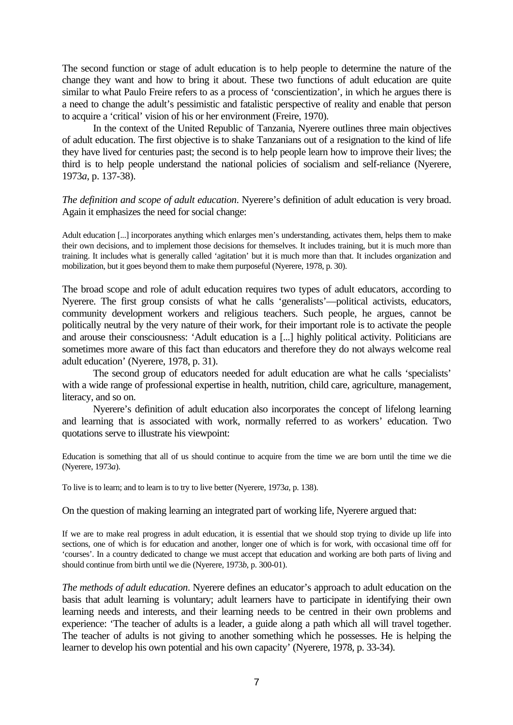The second function or stage of adult education is to help people to determine the nature of the change they want and how to bring it about. These two functions of adult education are quite similar to what Paulo Freire refers to as a process of 'conscientization', in which he argues there is a need to change the adult's pessimistic and fatalistic perspective of reality and enable that person to acquire a 'critical' vision of his or her environment (Freire, 1970).

In the context of the United Republic of Tanzania, Nyerere outlines three main objectives of adult education. The first objective is to shake Tanzanians out of a resignation to the kind of life they have lived for centuries past; the second is to help people learn how to improve their lives; the third is to help people understand the national policies of socialism and self-reliance (Nyerere, 1973*a*, p. 137-38).

*The definition and scope of adult education*. Nyerere's definition of adult education is very broad. Again it emphasizes the need for social change:

Adult education [...] incorporates anything which enlarges men's understanding, activates them, helps them to make their own decisions, and to implement those decisions for themselves. It includes training, but it is much more than training. It includes what is generally called 'agitation' but it is much more than that. It includes organization and mobilization, but it goes beyond them to make them purposeful (Nyerere, 1978, p. 30).

The broad scope and role of adult education requires two types of adult educators, according to Nyerere. The first group consists of what he calls 'generalists'—political activists, educators, community development workers and religious teachers. Such people, he argues, cannot be politically neutral by the very nature of their work, for their important role is to activate the people and arouse their consciousness: 'Adult education is a [...] highly political activity. Politicians are sometimes more aware of this fact than educators and therefore they do not always welcome real adult education' (Nyerere, 1978, p. 31).

The second group of educators needed for adult education are what he calls 'specialists' with a wide range of professional expertise in health, nutrition, child care, agriculture, management, literacy, and so on.

Nyerere's definition of adult education also incorporates the concept of lifelong learning and learning that is associated with work, normally referred to as workers' education. Two quotations serve to illustrate his viewpoint:

Education is something that all of us should continue to acquire from the time we are born until the time we die (Nyerere, 1973*a*).

To live is to learn; and to learn is to try to live better (Nyerere, 1973*a*, p. 138).

On the question of making learning an integrated part of working life, Nyerere argued that:

If we are to make real progress in adult education, it is essential that we should stop trying to divide up life into sections, one of which is for education and another, longer one of which is for work, with occasional time off for 'courses'. In a country dedicated to change we must accept that education and working are both parts of living and should continue from birth until we die (Nyerere, 1973*b*, p. 300-01).

*The methods of adult education*. Nyerere defines an educator's approach to adult education on the basis that adult learning is voluntary; adult learners have to participate in identifying their own learning needs and interests, and their learning needs to be centred in their own problems and experience: 'The teacher of adults is a leader, a guide along a path which all will travel together. The teacher of adults is not giving to another something which he possesses. He is helping the learner to develop his own potential and his own capacity' (Nyerere, 1978, p. 33-34).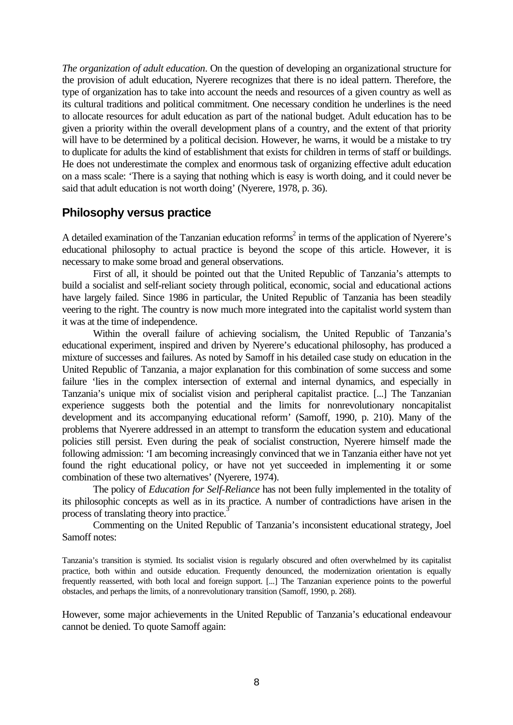*The organization of adult education*. On the question of developing an organizational structure for the provision of adult education, Nyerere recognizes that there is no ideal pattern. Therefore, the type of organization has to take into account the needs and resources of a given country as well as its cultural traditions and political commitment. One necessary condition he underlines is the need to allocate resources for adult education as part of the national budget. Adult education has to be given a priority within the overall development plans of a country, and the extent of that priority will have to be determined by a political decision. However, he warns, it would be a mistake to try to duplicate for adults the kind of establishment that exists for children in terms of staff or buildings. He does not underestimate the complex and enormous task of organizing effective adult education on a mass scale: 'There is a saying that nothing which is easy is worth doing, and it could never be said that adult education is not worth doing' (Nyerere, 1978, p. 36).

## **Philosophy versus practice**

A detailed examination of the Tanzanian education reforms<sup>2</sup> in terms of the application of Nyerere's educational philosophy to actual practice is beyond the scope of this article. However, it is necessary to make some broad and general observations.

First of all, it should be pointed out that the United Republic of Tanzania's attempts to build a socialist and self-reliant society through political, economic, social and educational actions have largely failed. Since 1986 in particular, the United Republic of Tanzania has been steadily veering to the right. The country is now much more integrated into the capitalist world system than it was at the time of independence.

Within the overall failure of achieving socialism, the United Republic of Tanzania's educational experiment, inspired and driven by Nyerere's educational philosophy, has produced a mixture of successes and failures. As noted by Samoff in his detailed case study on education in the United Republic of Tanzania, a major explanation for this combination of some success and some failure 'lies in the complex intersection of external and internal dynamics, and especially in Tanzania's unique mix of socialist vision and peripheral capitalist practice. [...] The Tanzanian experience suggests both the potential and the limits for nonrevolutionary noncapitalist development and its accompanying educational reform' (Samoff, 1990, p. 210). Many of the problems that Nyerere addressed in an attempt to transform the education system and educational policies still persist. Even during the peak of socialist construction, Nyerere himself made the following admission: 'I am becoming increasingly convinced that we in Tanzania either have not yet found the right educational policy, or have not yet succeeded in implementing it or some combination of these two alternatives' (Nyerere, 1974).

The policy of *Education for Self-Reliance* has not been fully implemented in the totality of its philosophic concepts as well as in its practice. A number of contradictions have arisen in the process of translating theory into practice.<sup>3</sup>

Commenting on the United Republic of Tanzania's inconsistent educational strategy, Joel Samoff notes:

Tanzania's transition is stymied. Its socialist vision is regularly obscured and often overwhelmed by its capitalist practice, both within and outside education. Frequently denounced, the modernization orientation is equally frequently reasserted, with both local and foreign support. [...] The Tanzanian experience points to the powerful obstacles, and perhaps the limits, of a nonrevolutionary transition (Samoff, 1990, p. 268).

However, some major achievements in the United Republic of Tanzania's educational endeavour cannot be denied. To quote Samoff again: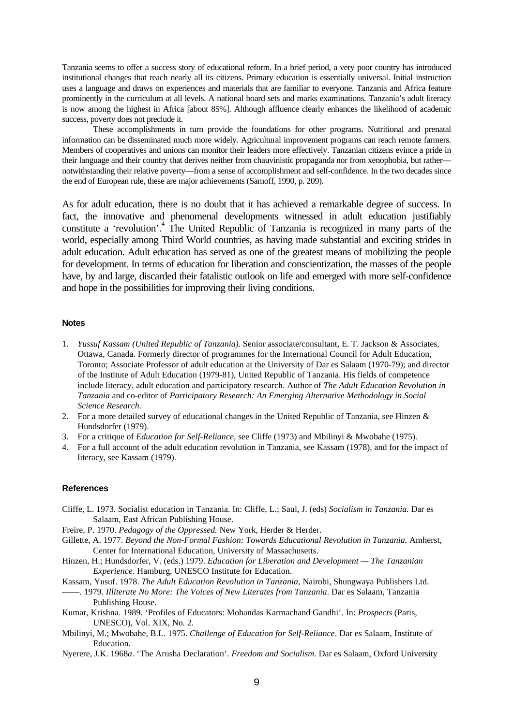Tanzania seems to offer a success story of educational reform. In a brief period, a very poor country has introduced institutional changes that reach nearly all its citizens. Primary education is essentially universal. Initial instruction uses a language and draws on experiences and materials that are familiar to everyone. Tanzania and Africa feature prominently in the curriculum at all levels. A national board sets and marks examinations. Tanzania's adult literacy is now among the highest in Africa [about 85%]. Although affluence clearly enhances the likelihood of academic success, poverty does not preclude it.

These accomplishments in turn provide the foundations for other programs. Nutritional and prenatal information can be disseminated much more widely. Agricultural improvement programs can reach remote farmers. Members of cooperatives and unions can monitor their leaders more effectively. Tanzanian citizens evince a pride in their language and their country that derives neither from chauvinistic propaganda nor from xenophobia, but rather notwithstanding their relative poverty—from a sense of accomplishment and self-confidence. In the two decades since the end of European rule, these are major achievements (Samoff, 1990, p. 209).

As for adult education, there is no doubt that it has achieved a remarkable degree of success. In fact, the innovative and phenomenal developments witnessed in adult education justifiably constitute a 'revolution'.<sup>4</sup> The United Republic of Tanzania is recognized in many parts of the world, especially among Third World countries, as having made substantial and exciting strides in adult education. Adult education has served as one of the greatest means of mobilizing the people for development. In terms of education for liberation and conscientization, the masses of the people have, by and large, discarded their fatalistic outlook on life and emerged with more self-confidence and hope in the possibilities for improving their living conditions.

### **Notes**

- 1. *Yussuf Kassam (United Republic of Tanzania).* Senior associate/consultant, E. T. Jackson & Associates, Ottawa, Canada. Formerly director of programmes for the International Council for Adult Education, Toronto; Associate Professor of adult education at the University of Dar es Salaam (1970-79); and director of the Institute of Adult Education (1979-81), United Republic of Tanzania. His fields of competence include literacy, adult education and participatory research. Author of *The Adult Education Revolution in Tanzania* and co-editor of *Participatory Research: An Emerging Alternative Methodology in Social Science Research.*
- 2. For a more detailed survey of educational changes in the United Republic of Tanzania, see Hinzen & Hundsdorfer (1979).
- 3. For a critique of *Education for Self-Reliance*, see Cliffe (1973) and Mbilinyi & Mwobahe (1975).
- 4. For a full account of the adult education revolution in Tanzania, see Kassam (1978), and for the impact of literacy, see Kassam (1979).

#### **References**

Cliffe, L. 1973. Socialist education in Tanzania. In: Cliffe, L.; Saul, J. (eds) *Socialism in Tanzania.* Dar es Salaam, East African Publishing House.

Freire, P. 1970. *Pedagogy of the Oppressed.* New York, Herder & Herder.

Gillette, A. 1977. *Beyond the Non-Formal Fashion: Towards Educational Revolution in Tanzania.* Amherst, Center for International Education, University of Massachusetts.

Hinzen, H.; Hundsdorfer, V. (eds.) 1979. *Education for Liberation and Development — The Tanzanian Experience*. Hamburg, UNESCO Institute for Education.

Kassam, Yusuf. 1978. *The Adult Education Revolution in Tanzania,* Nairobi, Shungwaya Publishers Ltd.

- ——. 1979. *Illiterate No More: The Voices of New Literates from Tanzania*. Dar es Salaam, Tanzania Publishing House.
- Kumar, Krishna. 1989. 'Profiles of Educators: Mohandas Karmachand Gandhi'. In: *Prospects* (Paris, UNESCO), Vol. XIX, No. 2.
- Mbilinyi, M.; Mwobahe, B.L. 1975. *Challenge of Education for Self-Reliance*. Dar es Salaam, Institute of Education.
- Nyerere, J.K. 1968*a*. 'The Arusha Declaration'. *Freedom and Socialism*. Dar es Salaam, Oxford University